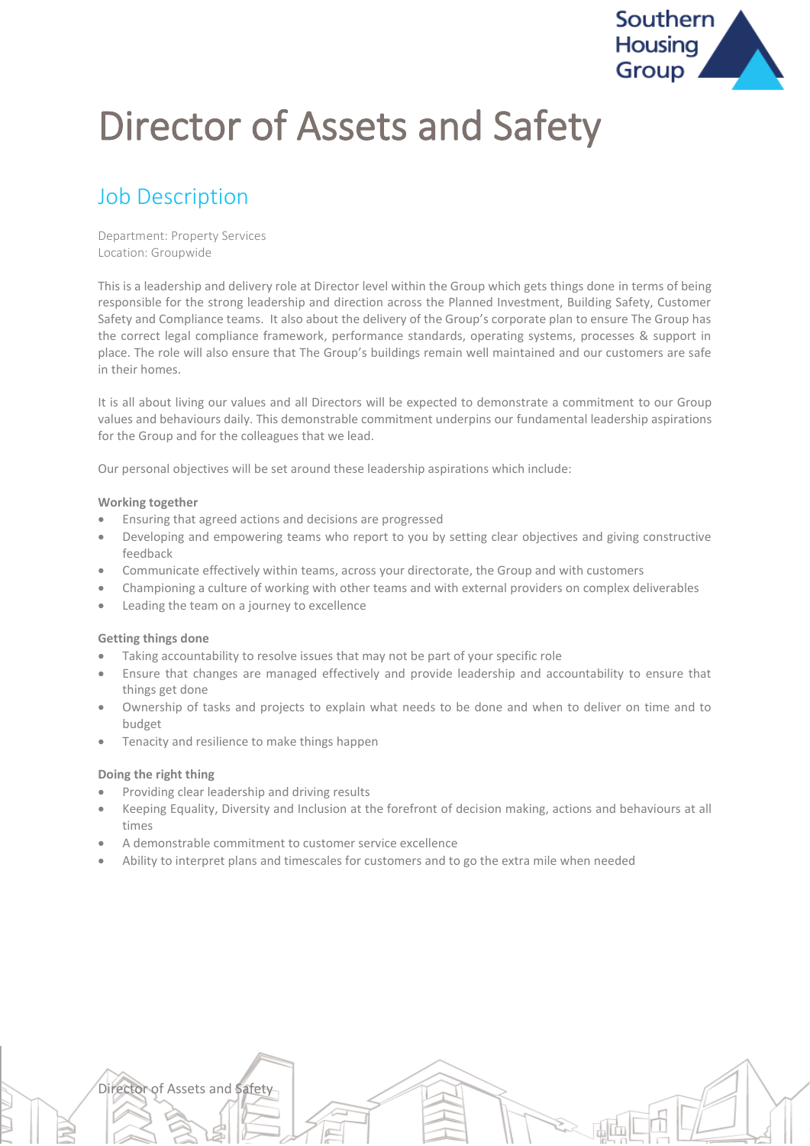

# Director of Assets and Safety

# Job Description

Department: Property Services Location: Groupwide

This is a leadership and delivery role at Director level within the Group which gets things done in terms of being responsible for the strong leadership and direction across the Planned Investment, Building Safety, Customer Safety and Compliance teams. It also about the delivery of the Group's corporate plan to ensure The Group has the correct legal compliance framework, performance standards, operating systems, processes & support in place. The role will also ensure that The Group's buildings remain well maintained and our customers are safe in their homes.

It is all about living our values and all Directors will be expected to demonstrate a commitment to our Group values and behaviours daily. This demonstrable commitment underpins our fundamental leadership aspirations for the Group and for the colleagues that we lead.

Our personal objectives will be set around these leadership aspirations which include:

#### **Working together**

- Ensuring that agreed actions and decisions are progressed
- Developing and empowering teams who report to you by setting clear objectives and giving constructive feedback
- Communicate effectively within teams, across your directorate, the Group and with customers
- Championing a culture of working with other teams and with external providers on complex deliverables
- Leading the team on a journey to excellence

#### **Getting things done**

- Taking accountability to resolve issues that may not be part of your specific role
- Ensure that changes are managed effectively and provide leadership and accountability to ensure that things get done
- Ownership of tasks and projects to explain what needs to be done and when to deliver on time and to budget
- Tenacity and resilience to make things happen

#### **Doing the right thing**

Director of Assets and Safety

- Providing clear leadership and driving results
- Keeping Equality, Diversity and Inclusion at the forefront of decision making, actions and behaviours at all times
- A demonstrable commitment to customer service excellence
- Ability to interpret plans and timescales for customers and to go the extra mile when needed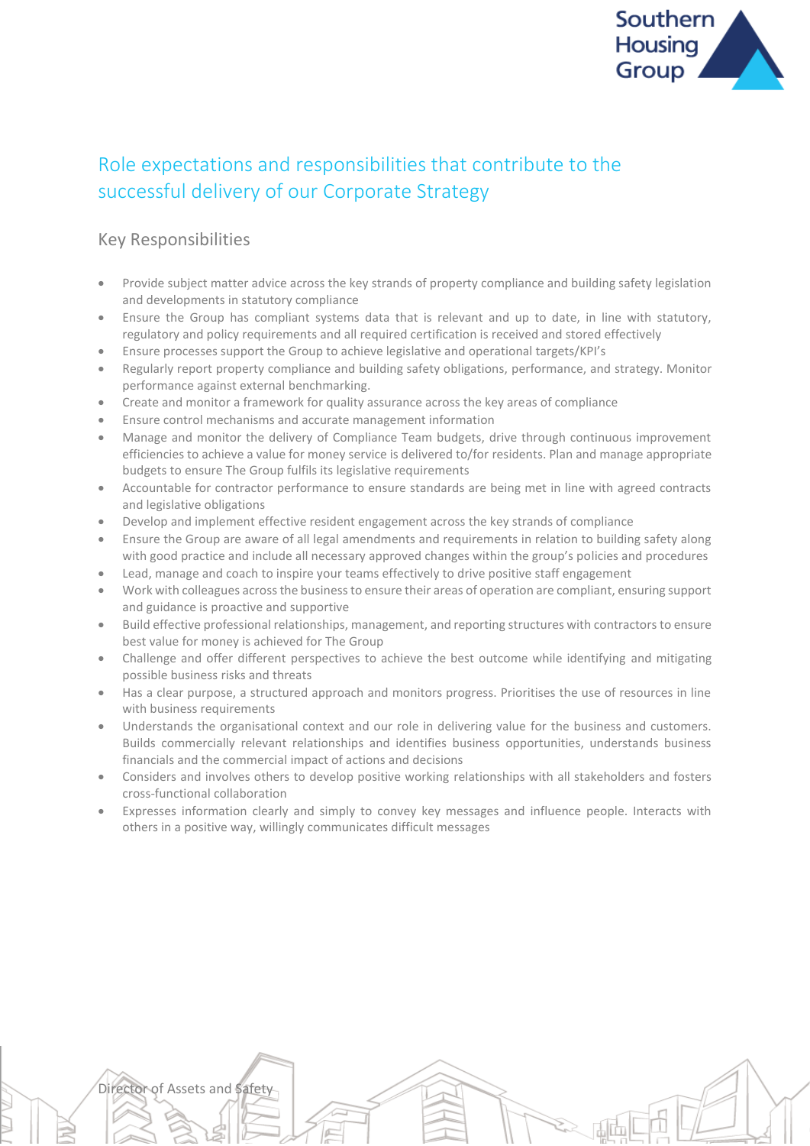

# Role expectations and responsibilities that contribute to the successful delivery of our Corporate Strategy

### Key Responsibilities

Director of Assets and Safety

- Provide subject matter advice across the key strands of property compliance and building safety legislation and developments in statutory compliance
- Ensure the Group has compliant systems data that is relevant and up to date, in line with statutory, regulatory and policy requirements and all required certification is received and stored effectively
- Ensure processes support the Group to achieve legislative and operational targets/KPI's
- Regularly report property compliance and building safety obligations, performance, and strategy. Monitor performance against external benchmarking.
- Create and monitor a framework for quality assurance across the key areas of compliance
- Ensure control mechanisms and accurate management information
- Manage and monitor the delivery of Compliance Team budgets, drive through continuous improvement efficiencies to achieve a value for money service is delivered to/for residents. Plan and manage appropriate budgets to ensure The Group fulfils its legislative requirements
- Accountable for contractor performance to ensure standards are being met in line with agreed contracts and legislative obligations
- Develop and implement effective resident engagement across the key strands of compliance
- Ensure the Group are aware of all legal amendments and requirements in relation to building safety along with good practice and include all necessary approved changes within the group's policies and procedures
- Lead, manage and coach to inspire your teams effectively to drive positive staff engagement
- Work with colleagues across the business to ensure their areas of operation are compliant, ensuring support and guidance is proactive and supportive
- Build effective professional relationships, management, and reporting structures with contractors to ensure best value for money is achieved for The Group
- Challenge and offer different perspectives to achieve the best outcome while identifying and mitigating possible business risks and threats
- Has a clear purpose, a structured approach and monitors progress. Prioritises the use of resources in line with business requirements
- Understands the organisational context and our role in delivering value for the business and customers. Builds commercially relevant relationships and identifies business opportunities, understands business financials and the commercial impact of actions and decisions
- Considers and involves others to develop positive working relationships with all stakeholders and fosters cross-functional collaboration
- Expresses information clearly and simply to convey key messages and influence people. Interacts with others in a positive way, willingly communicates difficult messages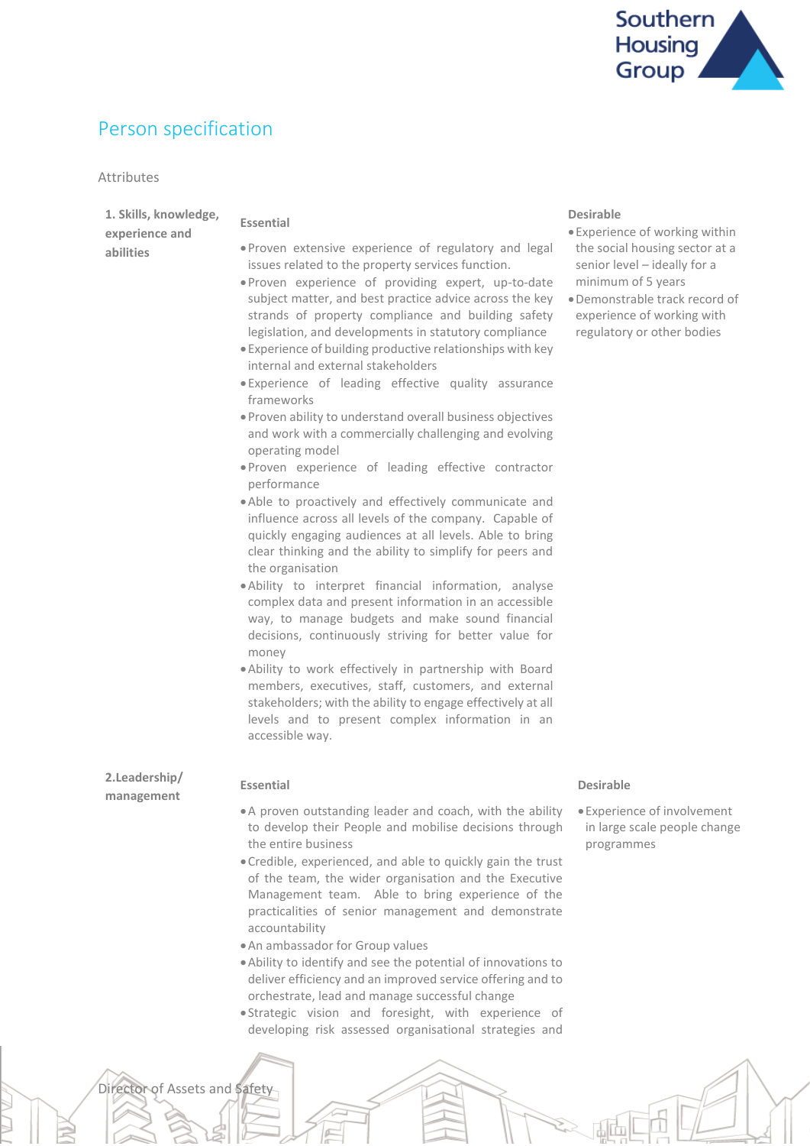

訕面

# Person specification

Director of Assets and Safety

#### Attributes

| 1. Skills, knowledge,<br>experience and | <b>Essential</b>                                                                                                                                                                                                                                                                                                                            | <b>Desirable</b><br>· Experience of working within                                                                                                                                 |
|-----------------------------------------|---------------------------------------------------------------------------------------------------------------------------------------------------------------------------------------------------------------------------------------------------------------------------------------------------------------------------------------------|------------------------------------------------------------------------------------------------------------------------------------------------------------------------------------|
| abilities                               | . Proven extensive experience of regulatory and legal<br>issues related to the property services function.<br>. Proven experience of providing expert, up-to-date<br>subject matter, and best practice advice across the key<br>strands of property compliance and building safety<br>legislation, and developments in statutory compliance | the social housing sector at a<br>senior level - ideally for a<br>minimum of 5 years<br>· Demonstrable track record of<br>experience of working with<br>regulatory or other bodies |
|                                         | • Experience of building productive relationships with key<br>internal and external stakeholders                                                                                                                                                                                                                                            |                                                                                                                                                                                    |
|                                         | · Experience of leading effective quality assurance<br>frameworks                                                                                                                                                                                                                                                                           |                                                                                                                                                                                    |
|                                         | . Proven ability to understand overall business objectives<br>and work with a commercially challenging and evolving<br>operating model                                                                                                                                                                                                      |                                                                                                                                                                                    |
|                                         | . Proven experience of leading effective contractor<br>performance                                                                                                                                                                                                                                                                          |                                                                                                                                                                                    |
|                                         | . Able to proactively and effectively communicate and<br>influence across all levels of the company. Capable of<br>quickly engaging audiences at all levels. Able to bring<br>clear thinking and the ability to simplify for peers and<br>the organisation                                                                                  |                                                                                                                                                                                    |
|                                         | .Ability to interpret financial information, analyse<br>complex data and present information in an accessible<br>way, to manage budgets and make sound financial<br>decisions, continuously striving for better value for<br>money                                                                                                          |                                                                                                                                                                                    |
|                                         | . Ability to work effectively in partnership with Board<br>members, executives, staff, customers, and external<br>stakeholders; with the ability to engage effectively at all<br>levels and to present complex information in an<br>accessible way.                                                                                         |                                                                                                                                                                                    |
| 2.Leadership/<br>management             | <b>Essential</b>                                                                                                                                                                                                                                                                                                                            | <b>Desirable</b>                                                                                                                                                                   |
|                                         | . A proven outstanding leader and coach, with the ability<br>to develop their People and mobilise decisions through<br>the entire business                                                                                                                                                                                                  | • Experience of involvement<br>in large scale people change<br>programmes                                                                                                          |
|                                         | . Credible, experienced, and able to quickly gain the trust<br>of the team, the wider organisation and the Executive<br>Management team. Able to bring experience of the<br>practicalities of senior management and demonstrate<br>accountability                                                                                           |                                                                                                                                                                                    |
|                                         | . An ambassador for Group values<br>. Ability to identify and see the potential of innovations to<br>deliver efficiency and an improved service offering and to                                                                                                                                                                             |                                                                                                                                                                                    |
|                                         | orchestrate, lead and manage successful change<br>·Strategic vision and foresight, with experience of<br>developing risk assessed organisational strategies and                                                                                                                                                                             |                                                                                                                                                                                    |